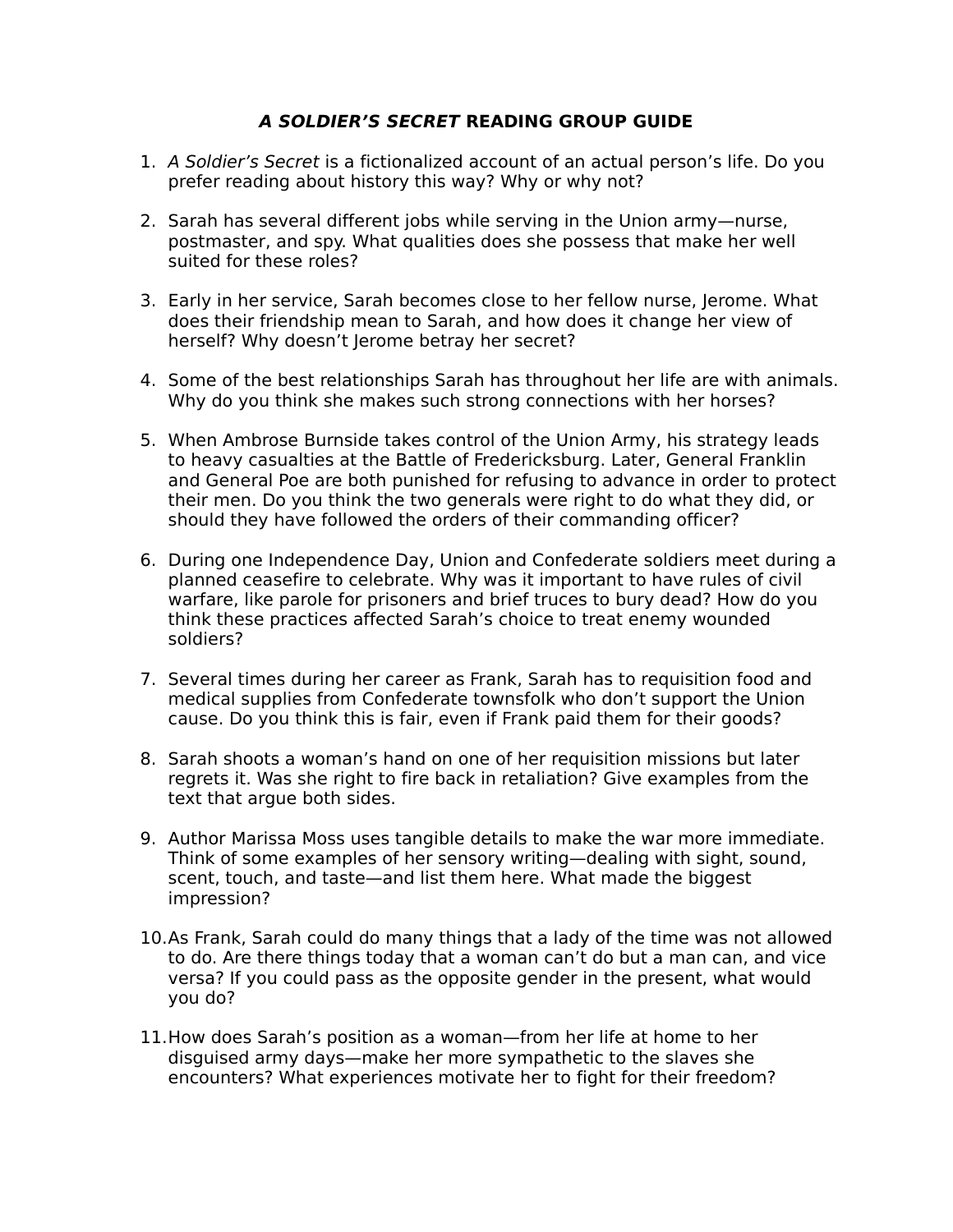## **A SOLDIER'S SECRET READING GROUP GUIDE**

- 1. A Soldier's Secret is a fictionalized account of an actual person's life. Do you prefer reading about history this way? Why or why not?
- 2. Sarah has several different jobs while serving in the Union army—nurse, postmaster, and spy. What qualities does she possess that make her well suited for these roles?
- 3. Early in her service, Sarah becomes close to her fellow nurse, Jerome. What does their friendship mean to Sarah, and how does it change her view of herself? Why doesn't Jerome betray her secret?
- 4. Some of the best relationships Sarah has throughout her life are with animals. Why do you think she makes such strong connections with her horses?
- 5. When Ambrose Burnside takes control of the Union Army, his strategy leads to heavy casualties at the Battle of Fredericksburg. Later, General Franklin and General Poe are both punished for refusing to advance in order to protect their men. Do you think the two generals were right to do what they did, or should they have followed the orders of their commanding officer?
- 6. During one Independence Day, Union and Confederate soldiers meet during a planned ceasefire to celebrate. Why was it important to have rules of civil warfare, like parole for prisoners and brief truces to bury dead? How do you think these practices affected Sarah's choice to treat enemy wounded soldiers?
- 7. Several times during her career as Frank, Sarah has to requisition food and medical supplies from Confederate townsfolk who don't support the Union cause. Do you think this is fair, even if Frank paid them for their goods?
- 8. Sarah shoots a woman's hand on one of her requisition missions but later regrets it. Was she right to fire back in retaliation? Give examples from the text that argue both sides.
- 9. Author Marissa Moss uses tangible details to make the war more immediate. Think of some examples of her sensory writing—dealing with sight, sound, scent, touch, and taste—and list them here. What made the biggest impression?
- 10.As Frank, Sarah could do many things that a lady of the time was not allowed to do. Are there things today that a woman can't do but a man can, and vice versa? If you could pass as the opposite gender in the present, what would you do?
- 11.How does Sarah's position as a woman—from her life at home to her disguised army days—make her more sympathetic to the slaves she encounters? What experiences motivate her to fight for their freedom?